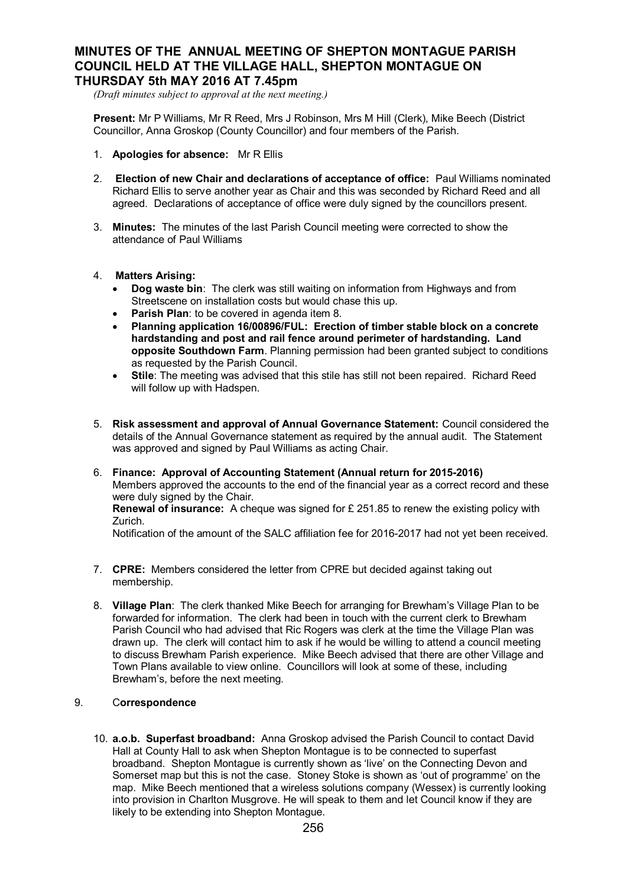## **MINUTES OF THE ANNUAL MEETING OF SHEPTON MONTAGUE PARISH COUNCIL HELD AT THE VILLAGE HALL, SHEPTON MONTAGUE ON THURSDAY 5th MAY 2016 AT 7.45pm**

*(Draft minutes subject to approval at the next meeting.)*

**Present:** Mr P Williams, Mr R Reed, Mrs J Robinson, Mrs M Hill (Clerk), Mike Beech (District Councillor, Anna Groskop (County Councillor) and four members of the Parish.

- 1. **Apologies for absence:** Mr R Ellis
- 2. **Election of new Chair and declarations of acceptance of office:** Paul Williams nominated Richard Ellis to serve another year as Chair and this was seconded by Richard Reed and all agreed. Declarations of acceptance of office were duly signed by the councillors present.
- 3. **Minutes:** The minutes of the last Parish Council meeting were corrected to show the attendance of Paul Williams
- 4. **Matters Arising:**
	- · **Dog waste bin**: The clerk was still waiting on information from Highways and from Streetscene on installation costs but would chase this up.
	- · **Parish Plan**: to be covered in agenda item 8.
	- · **Planning application 16/00896/FUL: Erection of timber stable block on a concrete hardstanding and post and rail fence around perimeter of hardstanding. Land opposite Southdown Farm**. Planning permission had been granted subject to conditions as requested by the Parish Council.
	- **Stile:** The meeting was advised that this stile has still not been repaired. Richard Reed will follow up with Hadspen.
- 5. **Risk assessment and approval of Annual Governance Statement:** Council considered the details of the Annual Governance statement as required by the annual audit. The Statement was approved and signed by Paul Williams as acting Chair.
- 6. **Finance: Approval of Accounting Statement (Annual return for 2015-2016)** Members approved the accounts to the end of the financial year as a correct record and these were duly signed by the Chair.

**Renewal of insurance:** A cheque was signed for £ 251.85 to renew the existing policy with Zurich.

Notification of the amount of the SALC affiliation fee for 2016-2017 had not yet been received.

- 7. **CPRE:** Members considered the letter from CPRE but decided against taking out membership.
- 8. **Village Plan**: The clerk thanked Mike Beech for arranging for Brewham's Village Plan to be forwarded for information. The clerk had been in touch with the current clerk to Brewham Parish Council who had advised that Ric Rogers was clerk at the time the Village Plan was drawn up. The clerk will contact him to ask if he would be willing to attend a council meeting to discuss Brewham Parish experience. Mike Beech advised that there are other Village and Town Plans available to view online. Councillors will look at some of these, including Brewham's, before the next meeting.

## 9. C**orrespondence**

10. **a.o.b. Superfast broadband:** Anna Groskop advised the Parish Council to contact David Hall at County Hall to ask when Shepton Montague is to be connected to superfast broadband. Shepton Montague is currently shown as 'live' on the Connecting Devon and Somerset map but this is not the case. Stoney Stoke is shown as 'out of programme' on the map. Mike Beech mentioned that a wireless solutions company (Wessex) is currently looking into provision in Charlton Musgrove. He will speak to them and let Council know if they are likely to be extending into Shepton Montague.